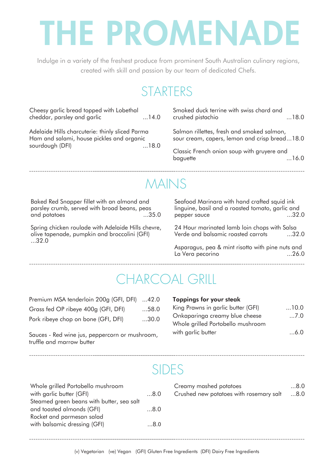# THE PROMENADE

Indulge in a variety of the freshest produce from prominent South Australian culinary regions, created with skill and passion by our team of dedicated Chefs.

## **STARTERS**

| Cheesy garlic bread topped with Lobethal<br>cheddar, parsley and garlic                                                         | 14.0 | Smoked duck terrine with swiss chard and<br>crushed pistachio                               | 18.0 |
|---------------------------------------------------------------------------------------------------------------------------------|------|---------------------------------------------------------------------------------------------|------|
| Adelaide Hills charcuterie: thinly sliced Parma<br>Ham and salami, house pickles and organic<br>sourdough (DFI)<br>$\dots$ 18.0 |      | Salmon rillettes, fresh and smoked salmon,<br>sour cream, capers, lemon and crisp bread18.0 |      |
|                                                                                                                                 |      | Classic French onion soup with gruyere and<br>baguette                                      | 16.0 |

## MAINS

Baked Red Snapper fillet with an almond and parsley crumb, served with broad beans, peas and potatoes

Spring chicken roulade with Adelaide Hills chevre, olive tapenade, pumpkin and broccolini (GFI) ...32.0

Seafood Marinara with hand crafted squid ink linguine, basil and a roasted tomato, garlic and pepper squce

24 Hour marinated lamb loin chops with Salsa Verde and balsamic roasted carrots ...32.0

Asparagus, pea & mint risotto with pine nuts and La Vera pecorino  $\dots 26.0$ 

## CHARCOAL GRILL

| Premium MSA tenderloin 200g (GFI, DFI) 42.0 |      |
|---------------------------------------------|------|
| Grass fed OP ribeye 400g (GFI, DFI)         | 58.0 |
| Pork ribeye chop on bone (GFI, DFI)         | 30.0 |

Sauces - Red wine jus, peppercorn or mushroom, truffle and marrow butter

| <b>Toppings for your steak</b> |  |  |
|--------------------------------|--|--|
|                                |  |  |

| King Prawns in garlic butter (GFI) | $\dots$ 10.0 |
|------------------------------------|--------------|
| Onkaparinga creamy blue cheese     | $\dots$ 7.0  |
| Whole grilled Portobello mushroom  |              |
| with garlic butter                 | $\dots 6.0$  |

#### SIDES

| Whole grilled Portobello mushroom         |     |
|-------------------------------------------|-----|
| with garlic butter (GFI)                  | 8.0 |
| Steamed green beans with butter, sea salt |     |
| and toasted almonds (GFI)                 | 8.0 |
| Rocket and parmesan salad                 |     |
| with balsamic dressing (GFI)              | 0.8 |
|                                           |     |

| Creamy mashed potatoes                      | $\dots8.0$ |
|---------------------------------------------|------------|
| 8.0 Crushed new potatoes with rosemary salt |            |